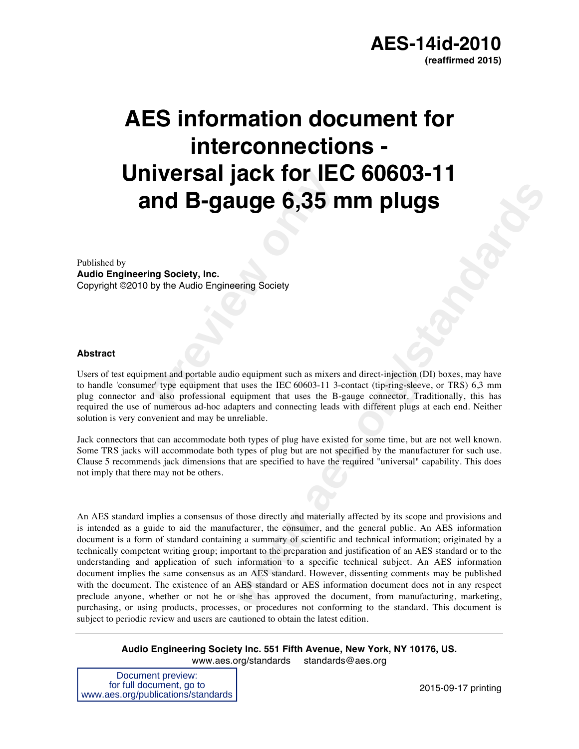

# **Preview B-Gauge 6,35 notation of B-Gauge 6,35 notationally the Audio Engineering Society<br>
by the Audio Engineering Society<br>
ment and portable audio equipment such as mixers<br>
re type equipment that uses the IEC 60603-11 3-AES information document for interconnections - Universal jack for IEC 60603-11 and B-gauge 6,35 mm plugs**

Published by **Audio Engineering Society, Inc.** Copyright ©2010 by the Audio Engineering Society

#### **Abstract**

Users of test equipment and portable audio equipment such as mixers and direct-injection (DI) boxes, may have to handle 'consumer' type equipment that uses the IEC 60603-11 3-contact (tip-ring-sleeve, or TRS) 6,3 mm plug connector and also professional equipment that uses the B-gauge connector. Traditionally, this has required the use of numerous ad-hoc adapters and connecting leads with different plugs at each end. Neither solution is very convenient and may be unreliable.

Jack connectors that can accommodate both types of plug have existed for some time, but are not well known. Some TRS jacks will accommodate both types of plug but are not specified by the manufacturer for such use. Clause 5 recommends jack dimensions that are specified to have the required "universal" capability. This does not imply that there may not be others.

**Example 18 CONSTRAND TO THE CONSTRAND CONSTRAND CONSTRAND CONSTRAND CONSTRAND CONSTRAND CONSTRAND CONSTRAND TO THE CONSTRAND (SUPPRESS) AND THE VIDEO CONSTRAND (SUPPRESS) AND THE VIDEO CONSTRAND (SUPPRESS) (SUPPRESS) (SUP** An AES standard implies a consensus of those directly and materially affected by its scope and provisions and is intended as a guide to aid the manufacturer, the consumer, and the general public. An AES information document is a form of standard containing a summary of scientific and technical information; originated by a technically competent writing group; important to the preparation and justification of an AES standard or to the understanding and application of such information to a specific technical subject. An AES information document implies the same consensus as an AES standard. However, dissenting comments may be published with the document. The existence of an AES standard or AES information document does not in any respect preclude anyone, whether or not he or she has approved the document, from manufacturing, marketing, purchasing, or using products, processes, or procedures not conforming to the standard. This document is subject to periodic review and users are cautioned to obtain the latest edition.

**Audio Engineering Society Inc. 551 Fifth Avenue, New York, NY 10176, US.** www.aes.org/standards standards@aes.org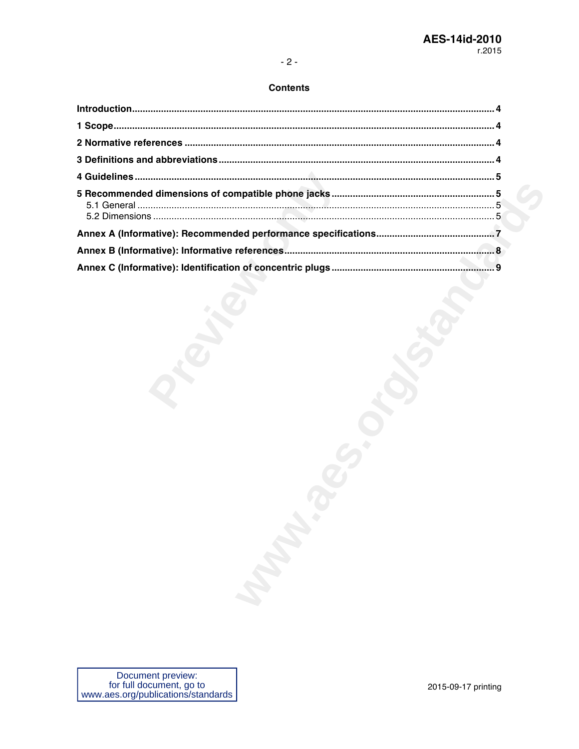# **Contents**

| <b>ROUGH</b> |  |
|--------------|--|
|              |  |
|              |  |
|              |  |
|              |  |
|              |  |
|              |  |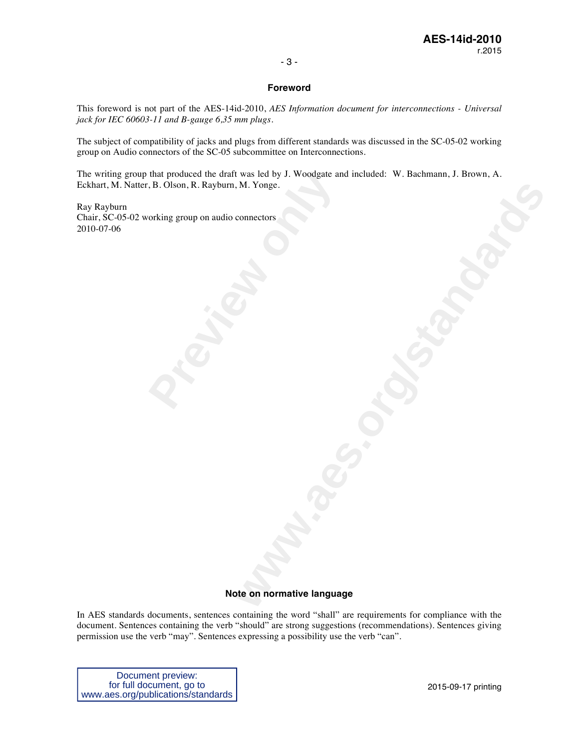#### - 3 -

#### **Foreword**

This foreword is not part of the AES-14id-2010, *AES Information document for interconnections - Universal jack for IEC 60603-11 and B-gauge 6,35 mm plugs*.

The subject of compatibility of jacks and plugs from different standards was discussed in the SC-05-02 working group on Audio connectors of the SC-05 subcommittee on Interconnections.

**Warnetown Commetter Amountaine** The writing group that produced the draft was led by J. Woodgate and included: W. Bachmann, J. Brown, A. Eckhart, M. Natter, B. Olson, R. Rayburn, M. Yonge.

that produced the draft was led by J. Woodgate are, B. Olson, R. Rayburn, M. Yonge.<br>
orking group on audio connectors Ray Rayburn Chair, SC-05-02 working group on audio connectors 2010-07-06

#### **Note on normative language**

In AES standards documents, sentences containing the word "shall" are requirements for compliance with the document. Sentences containing the verb "should" are strong suggestions (recommendations). Sentences giving permission use the verb "may". Sentences expressing a possibility use the verb "can".

Document preview: for full document, go to www.aes.org/publications/standards